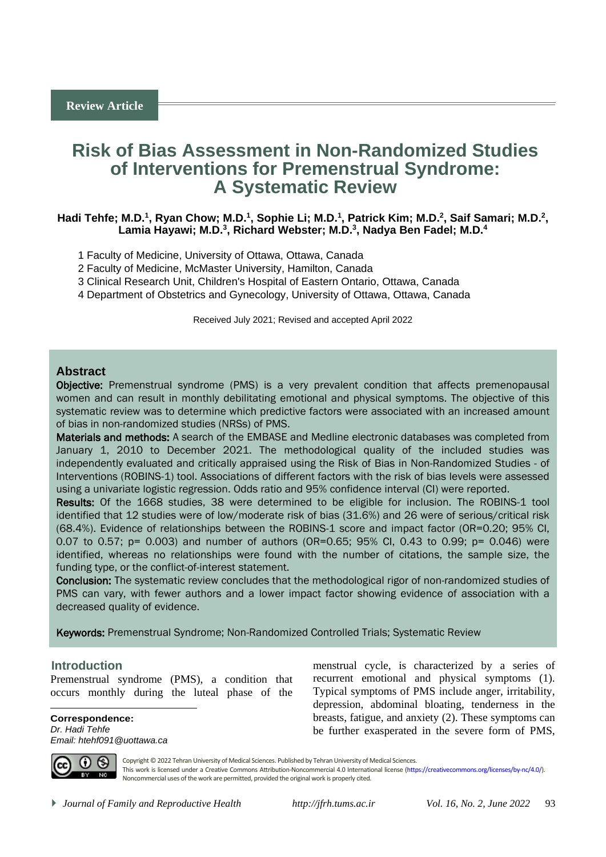# **Risk of Bias Assessment in Non-Randomized Studies of Interventions for Premenstrual Syndrome: A Systematic Review**

## Hadi Tehfe; M.D.<sup>1</sup>, Ryan Chow; M.D.<sup>1</sup>, Sophie Li; M.D.<sup>1</sup>, Patrick Kim; M.D.<sup>2</sup>, Saif Samari; M.D.<sup>2</sup>, **Lamia Hayawi; M.D.<sup>3</sup> , Richard Webster; M.D.<sup>3</sup> , Nadya Ben Fadel; M.D.<sup>4</sup>**

- 1 Faculty of Medicine, University of Ottawa, Ottawa, Canada
- 2 Faculty of Medicine, McMaster University, Hamilton, Canada
- 3 Clinical Research Unit, Children's Hospital of Eastern Ontario, Ottawa, Canada
- 4 Department of Obstetrics and Gynecology, University of Ottawa, Ottawa, Canada

Received July 2021; Revised and accepted April 2022

## **Abstract**

**Objective:** Premenstrual syndrome (PMS) is a very prevalent condition that affects premenopausal women and can result in monthly debilitating emotional and physical symptoms. The objective of this systematic review was to determine which predictive factors were associated with an increased amount of bias in non-randomized studies (NRSs) of PMS.

Materials and methods: A search of the EMBASE and Medline electronic databases was completed from January 1, 2010 to December 2021. The methodological quality of the included studies was independently evaluated and critically appraised using the Risk of Bias in Non-Randomized Studies - of Interventions (ROBINS-1) tool. Associations of different factors with the risk of bias levels were assessed using a univariate logistic regression. Odds ratio and 95% confidence interval (CI) were reported.

Results: Of the 1668 studies, 38 were determined to be eligible for inclusion. The ROBINS-1 tool identified that 12 studies were of low/moderate risk of bias (31.6%) and 26 were of serious/critical risk (68.4%). Evidence of relationships between the ROBINS-1 score and impact factor (OR=0.20; 95% CI, 0.07 to 0.57; p= 0.003) and number of authors (OR=0.65; 95% CI, 0.43 to 0.99; p= 0.046) were identified, whereas no relationships were found with the number of citations, the sample size, the funding type, or the conflict-of-interest statement.

Conclusion: The systematic review concludes that the methodological rigor of non-randomized studies of PMS can vary, with fewer authors and a lower impact factor showing evidence of association with a decreased quality of evidence.

Keywords: Premenstrual Syndrome; Non-Randomized Controlled Trials; Systematic Review

#### <sup>1</sup>**Introduction**

Premenstrual syndrome (PMS), a condition that occurs monthly during the luteal phase of the

**Correspondence:** *Dr. Hadi Tehfe Email: htehf091@uottawa.ca* menstrual cycle, is characterized by a series of recurrent emotional and physical symptoms (1). Typical symptoms of PMS include anger, irritability, depression, abdominal bloating, tenderness in the breasts, fatigue, and anxiety (2). These symptoms can be further exasperated in the severe form of PMS,



 $\overline{a}$ 

Copyright © 2022 Tehran University of Medical Sciences. Published by Tehran University of Medical Sciences. This work is licensed under a Creative Commons Attribution-Noncommercial 4.0 International license [\(https://creativecommons.org/licenses/by-nc/4.0/\)](https://creativecommons.org/licenses/by-nc/4.0/). Noncommercial uses of the work are permitted, provided the original work is properly cited.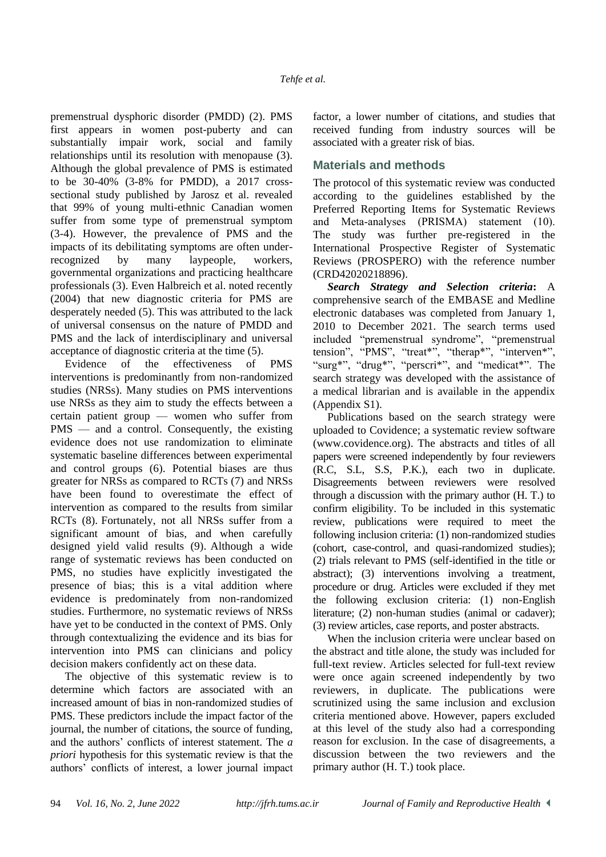premenstrual dysphoric disorder (PMDD) (2). PMS first appears in women post-puberty and can substantially impair work, social and family relationships until its resolution with menopause (3). Although the global prevalence of PMS is estimated to be 30-40% (3-8% for PMDD), a 2017 crosssectional study published by Jarosz et al. revealed that 99% of young multi-ethnic Canadian women suffer from some type of premenstrual symptom (3-4). However, the prevalence of PMS and the impacts of its debilitating symptoms are often underrecognized by many laypeople, workers, governmental organizations and practicing healthcare professionals (3). Even Halbreich et al. noted recently (2004) that new diagnostic criteria for PMS are desperately needed (5). This was attributed to the lack of universal consensus on the nature of PMDD and PMS and the lack of interdisciplinary and universal acceptance of diagnostic criteria at the time (5).

Evidence of the effectiveness of PMS interventions is predominantly from non-randomized studies (NRSs). Many studies on PMS interventions use NRSs as they aim to study the effects between a certain patient group — women who suffer from PMS — and a control. Consequently, the existing evidence does not use randomization to eliminate systematic baseline differences between experimental and control groups (6). Potential biases are thus greater for NRSs as compared to RCTs (7) and NRSs have been found to overestimate the effect of intervention as compared to the results from similar RCTs (8). Fortunately, not all NRSs suffer from a significant amount of bias, and when carefully designed yield valid results (9). Although a wide range of systematic reviews has been conducted on PMS, no studies have explicitly investigated the presence of bias; this is a vital addition where evidence is predominately from non-randomized studies. Furthermore, no systematic reviews of NRSs have yet to be conducted in the context of PMS. Only through contextualizing the evidence and its bias for intervention into PMS can clinicians and policy decision makers confidently act on these data.

The objective of this systematic review is to determine which factors are associated with an increased amount of bias in non-randomized studies of PMS. These predictors include the impact factor of the journal, the number of citations, the source of funding, and the authors' conflicts of interest statement. The *a priori* hypothesis for this systematic review is that the authors' conflicts of interest, a lower journal impact factor, a lower number of citations, and studies that received funding from industry sources will be associated with a greater risk of bias.

## **Materials and methods**

The protocol of this systematic review was conducted according to the guidelines established by the Preferred Reporting Items for Systematic Reviews and Meta‐analyses (PRISMA) statement (10). The study was further pre-registered in the International Prospective Register of Systematic Reviews (PROSPERO) with the reference number (CRD42020218896).

*Search Strategy and Selection criteria***:** A comprehensive search of the EMBASE and Medline electronic databases was completed from January 1, 2010 to December 2021. The search terms used included "premenstrual syndrome", "premenstrual tension", "PMS", "treat\*", "therap\*", "interven\*", "surg\*", "drug\*", "perscri\*", and "medicat\*". The search strategy was developed with the assistance of a medical librarian and is available in the appendix (Appendix S1).

Publications based on the search strategy were uploaded to Covidence; a systematic review software (www.covidence.org). The abstracts and titles of all papers were screened independently by four reviewers (R.C, S.L, S.S, P.K.), each two in duplicate. Disagreements between reviewers were resolved through a discussion with the primary author (H. T.) to confirm eligibility. To be included in this systematic review, publications were required to meet the following inclusion criteria: (1) non-randomized studies (cohort, case-control, and quasi-randomized studies); (2) trials relevant to PMS (self-identified in the title or abstract); (3) interventions involving a treatment, procedure or drug. Articles were excluded if they met the following exclusion criteria: (1) non-English literature; (2) non-human studies (animal or cadaver); (3) review articles, case reports, and poster abstracts.

When the inclusion criteria were unclear based on the abstract and title alone, the study was included for full-text review. Articles selected for full-text review were once again screened independently by two reviewers, in duplicate. The publications were scrutinized using the same inclusion and exclusion criteria mentioned above. However, papers excluded at this level of the study also had a corresponding reason for exclusion. In the case of disagreements, a discussion between the two reviewers and the primary author (H. T.) took place.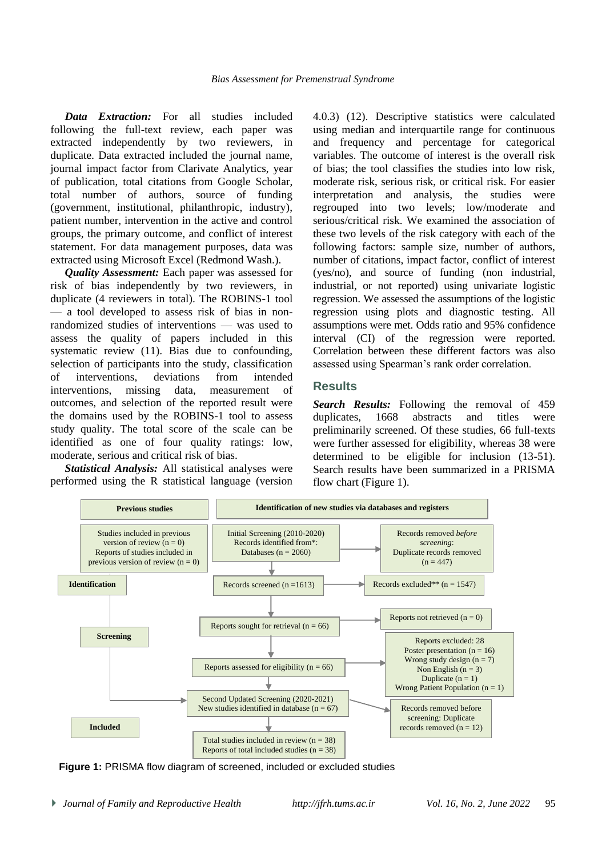*Data Extraction:* For all studies included following the full-text review, each paper was extracted independently by two reviewers, in duplicate. Data extracted included the journal name, journal impact factor from Clarivate Analytics, year of publication, total citations from Google Scholar, total number of authors, source of funding (government, institutional, philanthropic, industry), patient number, intervention in the active and control groups, the primary outcome, and conflict of interest statement. For data management purposes, data was extracted using Microsoft Excel (Redmond Wash.).

*Quality Assessment:* Each paper was assessed for risk of bias independently by two reviewers, in duplicate (4 reviewers in total). The ROBINS-1 tool — a tool developed to assess risk of bias in nonrandomized studies of interventions — was used to assess the quality of papers included in this systematic review (11). Bias due to confounding, selection of participants into the study, classification of interventions, deviations from intended interventions, missing data, measurement of outcomes, and selection of the reported result were the domains used by the ROBINS-1 tool to assess study quality. The total score of the scale can be identified as one of four quality ratings: low, moderate, serious and critical risk of bias.

*Statistical Analysis:* All statistical analyses were performed using the R statistical language (version 4.0.3) (12). Descriptive statistics were calculated using median and interquartile range for continuous and frequency and percentage for categorical variables. The outcome of interest is the overall risk of bias; the tool classifies the studies into low risk, moderate risk, serious risk, or critical risk. For easier interpretation and analysis, the studies were regrouped into two levels; low/moderate and serious/critical risk. We examined the association of these two levels of the risk category with each of the following factors: sample size, number of authors, number of citations, impact factor, conflict of interest (yes/no), and source of funding (non industrial, industrial, or not reported) using univariate logistic regression. We assessed the assumptions of the logistic regression using plots and diagnostic testing. All assumptions were met. Odds ratio and 95% confidence interval (CI) of the regression were reported. Correlation between these different factors was also assessed using Spearman's rank order correlation.

## **Results**

*Search Results:* Following the removal of 459 duplicates, 1668 abstracts and titles were preliminarily screened. Of these studies, 66 full-texts were further assessed for eligibility, whereas 38 were determined to be eligible for inclusion (13-51). Search results have been summarized in a PRISMA flow chart (Figure 1).



**Figure 1:** PRISMA flow diagram of screened, included or excluded studies

*Journal of Family and Reproductive Health http://jfrh.tums.ac.ir Vol. 16, No. 2, June 2022* 95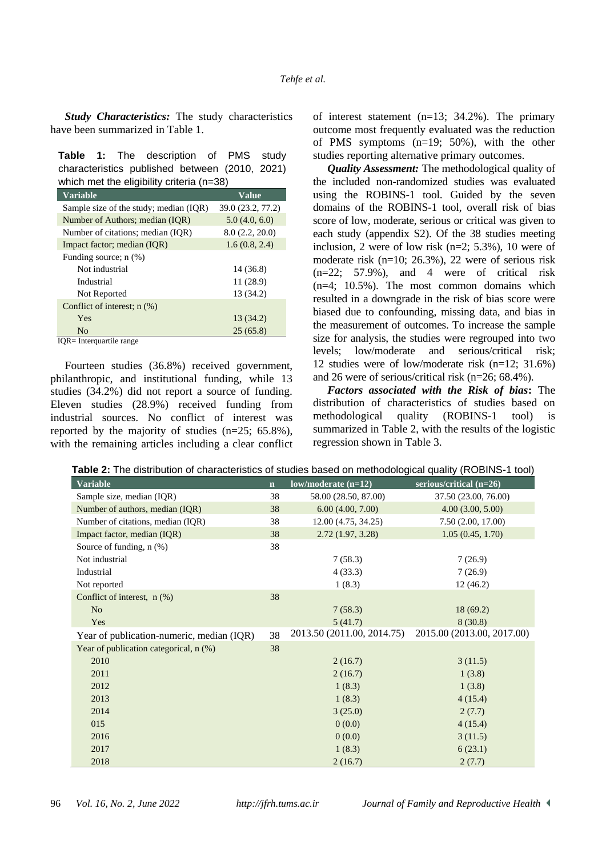*Study Characteristics:* The study characteristics have been summarized in Table 1.

|                                           |  |  | <b>Table 1:</b> The description of PMS study   |  |  |  |  |
|-------------------------------------------|--|--|------------------------------------------------|--|--|--|--|
|                                           |  |  | characteristics published between (2010, 2021) |  |  |  |  |
| which met the eligibility criteria (n=38) |  |  |                                                |  |  |  |  |

| <b>Variable</b>                                     | Value             |  |  |
|-----------------------------------------------------|-------------------|--|--|
| Sample size of the study; median (IQR)              | 39.0 (23.2, 77.2) |  |  |
| Number of Authors; median (IQR)                     | 5.0(4.0, 6.0)     |  |  |
| Number of citations; median (IOR)                   | 8.0(2.2, 20.0)    |  |  |
| Impact factor; median (IQR)                         | 1.6(0.8, 2.4)     |  |  |
| Funding source; $n$ $(\%)$                          |                   |  |  |
| Not industrial                                      | 14 (36.8)         |  |  |
| Industrial                                          | 11(28.9)          |  |  |
| Not Reported                                        | 13 (34.2)         |  |  |
| Conflict of interest; $n$ $(\%)$                    |                   |  |  |
| Yes                                                 | 13 (34.2)         |  |  |
| N <sub>0</sub>                                      | 25(65.8)          |  |  |
| $T\cap D$<br>$\mathbf{r}$ , the set of $\mathbf{r}$ |                   |  |  |

IQR= Interquartile range

Fourteen studies (36.8%) received government, philanthropic, and institutional funding, while 13 studies (34.2%) did not report a source of funding. Eleven studies (28.9%) received funding from industrial sources. No conflict of interest was reported by the majority of studies (n=25; 65.8%), with the remaining articles including a clear conflict of interest statement (n=13; 34.2%). The primary outcome most frequently evaluated was the reduction of PMS symptoms (n=19; 50%), with the other studies reporting alternative primary outcomes.

*Quality Assessment:* The methodological quality of the included non-randomized studies was evaluated using the ROBINS-1 tool. Guided by the seven domains of the ROBINS-1 tool, overall risk of bias score of low, moderate, serious or critical was given to each study (appendix S2). Of the 38 studies meeting inclusion, 2 were of low risk (n=2; 5.3%), 10 were of moderate risk (n=10; 26.3%), 22 were of serious risk  $(n=22; 57.9\%)$ , and 4 were of critical risk (n=4; 10.5%). The most common domains which resulted in a downgrade in the risk of bias score were biased due to confounding, missing data, and bias in the measurement of outcomes. To increase the sample size for analysis, the studies were regrouped into two levels; low/moderate and serious/critical risk; 12 studies were of low/moderate risk (n=12; 31.6%) and 26 were of serious/critical risk (n=26; 68.4%).

*Factors associated with the Risk of bias***:** The distribution of characteristics of studies based on methodological quality (ROBINS-1 tool) is summarized in Table 2, with the results of the logistic regression shown in Table 3.

| according or classed bacca on mothodological quality (110 ph 10 + 1001) |             |                            |                            |  |  |  |  |
|-------------------------------------------------------------------------|-------------|----------------------------|----------------------------|--|--|--|--|
| <b>Variable</b>                                                         | $\mathbf n$ | $low/moderate (n=12)$      | serious/critical (n=26)    |  |  |  |  |
| Sample size, median (IQR)                                               | 38          | 58.00 (28.50, 87.00)       | 37.50 (23.00, 76.00)       |  |  |  |  |
| Number of authors, median (IQR)                                         | 38          | 6.00(4.00, 7.00)           | 4.00(3.00, 5.00)           |  |  |  |  |
| Number of citations, median (IQR)                                       | 38          | 12.00(4.75, 34.25)         | 7.50(2.00, 17.00)          |  |  |  |  |
| Impact factor, median (IQR)                                             | 38          | 2.72(1.97, 3.28)           | 1.05(0.45, 1.70)           |  |  |  |  |
| Source of funding, $n$ $(\%)$                                           | 38          |                            |                            |  |  |  |  |
| Not industrial                                                          |             | 7(58.3)                    | 7(26.9)                    |  |  |  |  |
| Industrial                                                              |             | 4(33.3)                    | 7(26.9)                    |  |  |  |  |
| Not reported                                                            |             | 1(8.3)                     | 12(46.2)                   |  |  |  |  |
| Conflict of interest, $n$ (%)                                           | 38          |                            |                            |  |  |  |  |
| N <sub>o</sub>                                                          |             | 7(58.3)                    | 18(69.2)                   |  |  |  |  |
| Yes                                                                     |             | 5(41.7)                    | 8(30.8)                    |  |  |  |  |
| Year of publication-numeric, median (IQR)                               | 38          | 2013.50 (2011.00, 2014.75) | 2015.00 (2013.00, 2017.00) |  |  |  |  |
| Year of publication categorical, n (%)                                  | 38          |                            |                            |  |  |  |  |
| 2010                                                                    |             | 2(16.7)                    | 3(11.5)                    |  |  |  |  |
| 2011                                                                    |             | 2(16.7)                    | 1(3.8)                     |  |  |  |  |
| 2012                                                                    |             | 1(8.3)                     | 1(3.8)                     |  |  |  |  |
| 2013                                                                    |             | 1(8.3)                     | 4(15.4)                    |  |  |  |  |
| 2014                                                                    |             | 3(25.0)                    | 2(7.7)                     |  |  |  |  |
| 015                                                                     |             | 0(0.0)                     | 4(15.4)                    |  |  |  |  |
| 2016                                                                    |             | 0(0.0)                     | 3(11.5)                    |  |  |  |  |
| 2017                                                                    |             | 1(8.3)                     | 6(23.1)                    |  |  |  |  |
| 2018                                                                    |             | 2(16.7)                    | 2(7.7)                     |  |  |  |  |

**Table 2:** The distribution of characteristics of studies based on methodological quality (ROBINS-1 tool)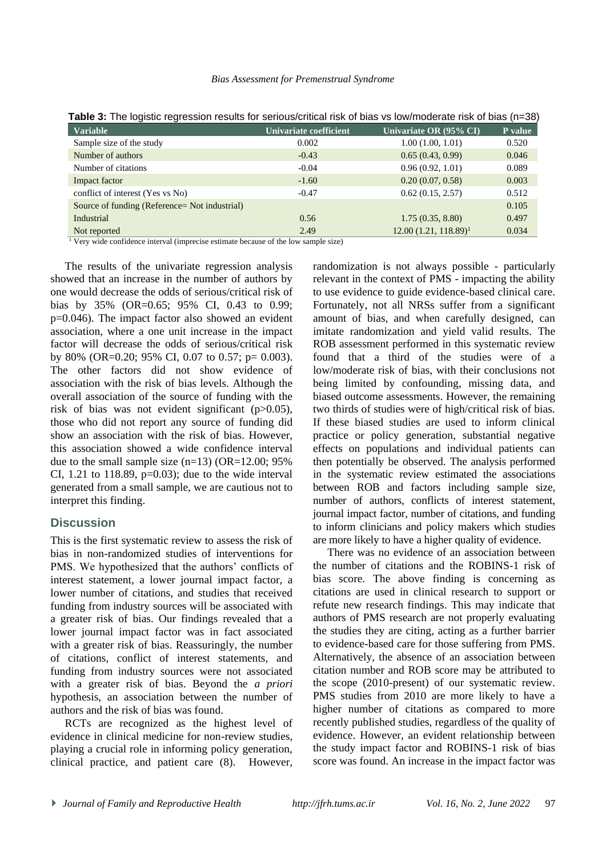#### *Bias Assessment for Premenstrual Syndrome*

| <b>Variable</b>                                | Univariate coefficient | Univariate OR (95% CI)  | P value |
|------------------------------------------------|------------------------|-------------------------|---------|
| Sample size of the study                       | 0.002                  | 1.00(1.00, 1.01)        | 0.520   |
| Number of authors                              | $-0.43$                | 0.65(0.43, 0.99)        | 0.046   |
| Number of citations                            | $-0.04$                | 0.96(0.92, 1.01)        | 0.089   |
| Impact factor                                  | $-1.60$                | 0.20(0.07, 0.58)        | 0.003   |
| conflict of interest (Yes vs No)               | $-0.47$                | 0.62(0.15, 2.57)        | 0.512   |
| Source of funding (Reference = Not industrial) |                        |                         | 0.105   |
| Industrial                                     | 0.56                   | 1.75(0.35, 8.80)        | 0.497   |
| Not reported                                   | 2.49                   | $12.00(1.21, 118.89)^1$ | 0.034   |

**Table 3:** The logistic regression results for serious/critical risk of bias vs low/moderate risk of bias (n=38)

<sup>1</sup> Very wide confidence interval (imprecise estimate because of the low sample size)

The results of the univariate regression analysis showed that an increase in the number of authors by one would decrease the odds of serious/critical risk of bias by 35% (OR=0.65; 95% CI, 0.43 to 0.99; p=0.046). The impact factor also showed an evident association, where a one unit increase in the impact factor will decrease the odds of serious/critical risk by 80% (OR=0.20; 95% CI, 0.07 to 0.57; p= 0.003). The other factors did not show evidence of association with the risk of bias levels. Although the overall association of the source of funding with the risk of bias was not evident significant (p>0.05), those who did not report any source of funding did show an association with the risk of bias. However, this association showed a wide confidence interval due to the small sample size  $(n=13)$  (OR=12.00; 95%) CI, 1.21 to 118.89,  $p=0.03$ ); due to the wide interval generated from a small sample, we are cautious not to interpret this finding.

## **Discussion**

This is the first systematic review to assess the risk of bias in non-randomized studies of interventions for PMS. We hypothesized that the authors' conflicts of interest statement, a lower journal impact factor, a lower number of citations, and studies that received funding from industry sources will be associated with a greater risk of bias. Our findings revealed that a lower journal impact factor was in fact associated with a greater risk of bias. Reassuringly, the number of citations, conflict of interest statements, and funding from industry sources were not associated with a greater risk of bias. Beyond the *a priori*  hypothesis, an association between the number of authors and the risk of bias was found.

RCTs are recognized as the highest level of evidence in clinical medicine for non-review studies, playing a crucial role in informing policy generation, clinical practice, and patient care (8). However,

randomization is not always possible - particularly relevant in the context of PMS - impacting the ability to use evidence to guide evidence-based clinical care. Fortunately, not all NRSs suffer from a significant amount of bias, and when carefully designed, can imitate randomization and yield valid results. The ROB assessment performed in this systematic review found that a third of the studies were of a low/moderate risk of bias, with their conclusions not being limited by confounding, missing data, and biased outcome assessments. However, the remaining two thirds of studies were of high/critical risk of bias. If these biased studies are used to inform clinical practice or policy generation, substantial negative effects on populations and individual patients can then potentially be observed. The analysis performed in the systematic review estimated the associations between ROB and factors including sample size, number of authors, conflicts of interest statement, journal impact factor, number of citations, and funding to inform clinicians and policy makers which studies are more likely to have a higher quality of evidence.

There was no evidence of an association between the number of citations and the ROBINS-1 risk of bias score. The above finding is concerning as citations are used in clinical research to support or refute new research findings. This may indicate that authors of PMS research are not properly evaluating the studies they are citing, acting as a further barrier to evidence-based care for those suffering from PMS. Alternatively, the absence of an association between citation number and ROB score may be attributed to the scope (2010-present) of our systematic review. PMS studies from 2010 are more likely to have a higher number of citations as compared to more recently published studies, regardless of the quality of evidence. However, an evident relationship between the study impact factor and ROBINS-1 risk of bias score was found. An increase in the impact factor was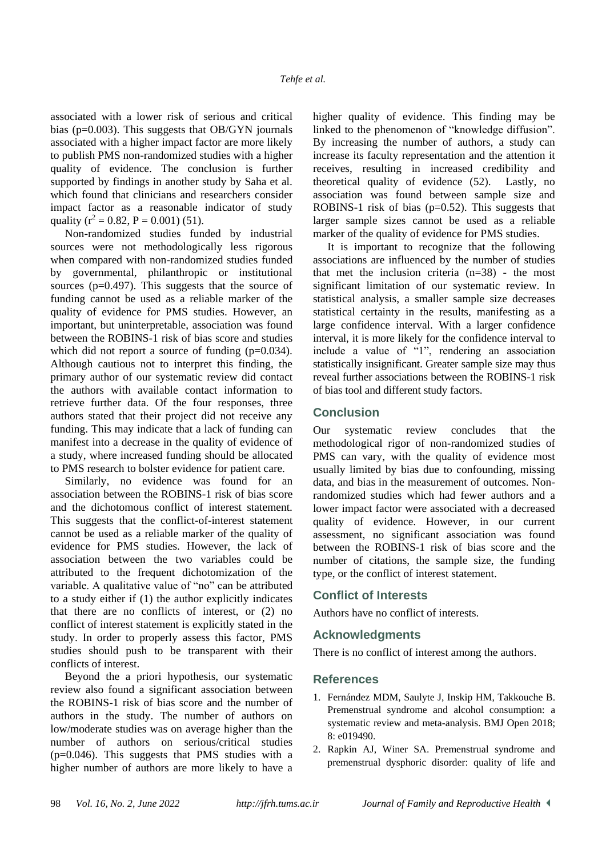associated with a lower risk of serious and critical bias ( $p=0.003$ ). This suggests that OB/GYN journals associated with a higher impact factor are more likely to publish PMS non-randomized studies with a higher quality of evidence. The conclusion is further supported by findings in another study by Saha et al. which found that clinicians and researchers consider impact factor as a reasonable indicator of study quality ( $r^2 = 0.82$ ,  $P = 0.001$ ) (51).

Non-randomized studies funded by industrial sources were not methodologically less rigorous when compared with non-randomized studies funded by governmental, philanthropic or institutional sources ( $p=0.497$ ). This suggests that the source of funding cannot be used as a reliable marker of the quality of evidence for PMS studies. However, an important, but uninterpretable, association was found between the ROBINS-1 risk of bias score and studies which did not report a source of funding  $(p=0.034)$ . Although cautious not to interpret this finding, the primary author of our systematic review did contact the authors with available contact information to retrieve further data. Of the four responses, three authors stated that their project did not receive any funding. This may indicate that a lack of funding can manifest into a decrease in the quality of evidence of a study, where increased funding should be allocated to PMS research to bolster evidence for patient care.

Similarly, no evidence was found for an association between the ROBINS-1 risk of bias score and the dichotomous conflict of interest statement. This suggests that the conflict-of-interest statement cannot be used as a reliable marker of the quality of evidence for PMS studies. However, the lack of association between the two variables could be attributed to the frequent dichotomization of the variable. A qualitative value of "no" can be attributed to a study either if (1) the author explicitly indicates that there are no conflicts of interest, or (2) no conflict of interest statement is explicitly stated in the study. In order to properly assess this factor, PMS studies should push to be transparent with their conflicts of interest.

Beyond the a priori hypothesis, our systematic review also found a significant association between the ROBINS-1 risk of bias score and the number of authors in the study. The number of authors on low/moderate studies was on average higher than the number of authors on serious/critical studies (p=0.046). This suggests that PMS studies with a higher number of authors are more likely to have a

higher quality of evidence. This finding may be linked to the phenomenon of "knowledge diffusion". By increasing the number of authors, a study can increase its faculty representation and the attention it receives, resulting in increased credibility and theoretical quality of evidence (52). Lastly, no association was found between sample size and ROBINS-1 risk of bias  $(p=0.52)$ . This suggests that larger sample sizes cannot be used as a reliable marker of the quality of evidence for PMS studies.

It is important to recognize that the following associations are influenced by the number of studies that met the inclusion criteria (n=38) - the most significant limitation of our systematic review. In statistical analysis, a smaller sample size decreases statistical certainty in the results, manifesting as a large confidence interval. With a larger confidence interval, it is more likely for the confidence interval to include a value of "1", rendering an association statistically insignificant. Greater sample size may thus reveal further associations between the ROBINS-1 risk of bias tool and different study factors.

## **Conclusion**

Our systematic review concludes that the methodological rigor of non-randomized studies of PMS can vary, with the quality of evidence most usually limited by bias due to confounding, missing data, and bias in the measurement of outcomes. Nonrandomized studies which had fewer authors and a lower impact factor were associated with a decreased quality of evidence. However, in our current assessment, no significant association was found between the ROBINS-1 risk of bias score and the number of citations, the sample size, the funding type, or the conflict of interest statement.

### **Conflict of Interests**

Authors have no conflict of interests.

## **Acknowledgments**

There is no conflict of interest among the authors.

### **References**

- 1. Fernández MDM, Saulyte J, Inskip HM, Takkouche B. Premenstrual syndrome and alcohol consumption: a systematic review and meta-analysis. BMJ Open 2018; 8: e019490.
- 2. Rapkin AJ, Winer SA. Premenstrual syndrome and premenstrual dysphoric disorder: quality of life and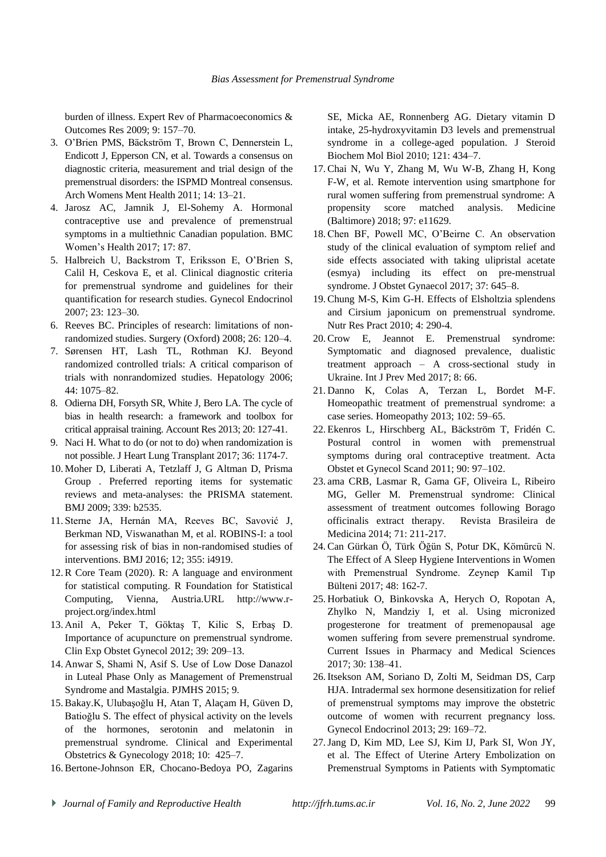burden of illness. Expert Rev of Pharmacoeconomics & Outcomes Res 2009; 9: 157–70.

- 3. O'Brien PMS, Bäckström T, Brown C, Dennerstein L, Endicott J, Epperson CN, et al. Towards a consensus on diagnostic criteria, measurement and trial design of the premenstrual disorders: the ISPMD Montreal consensus. Arch Womens Ment Health 2011; 14: 13–21.
- 4. Jarosz AC, Jamnik J, El-Sohemy A. Hormonal contraceptive use and prevalence of premenstrual symptoms in a multiethnic Canadian population. BMC Women's Health 2017; 17: 87.
- 5. Halbreich U, Backstrom T, Eriksson E, O'Brien S, Calil H, Ceskova E, et al. Clinical diagnostic criteria for premenstrual syndrome and guidelines for their quantification for research studies. Gynecol Endocrinol 2007; 23: 123–30.
- 6. Reeves BC. Principles of research: limitations of nonrandomized studies. Surgery (Oxford) 2008; 26: 120–4.
- 7. Sørensen HT, Lash TL, Rothman KJ. Beyond randomized controlled trials: A critical comparison of trials with nonrandomized studies. Hepatology 2006; 44: 1075–82.
- 8. Odierna DH, Forsyth SR, White J, Bero LA. The cycle of bias in health research: a framework and toolbox for critical appraisal training. Account Res 2013; 20: 127-41.
- 9. Naci H. What to do (or not to do) when randomization is not possible. J Heart Lung Transplant 2017; 36: 1174-7.
- 10. Moher D, Liberati A, Tetzlaff J, G Altman D, Prisma Group . Preferred reporting items for systematic reviews and meta-analyses: the PRISMA statement. BMJ 2009; 339: b2535.
- 11. Sterne JA, Hernán MA, Reeves BC, Savović J, Berkman ND, Viswanathan M, et al. ROBINS-I: a tool for assessing risk of bias in non-randomised studies of interventions. BMJ 2016; 12; 355: i4919.
- 12. R Core Team (2020). R: A language and environment for statistical computing. R Foundation for Statistical Computing, Vienna, Austria.URL http://www.rproject.org/index.html
- 13. Anil A, Peker T, Göktaş T, Kilic S, Erbaş D. Importance of acupuncture on premenstrual syndrome. Clin Exp Obstet Gynecol 2012; 39: 209–13.
- 14. Anwar S, Shami N, Asif S. Use of Low Dose Danazol in Luteal Phase Only as Management of Premenstrual Syndrome and Mastalgia. PJMHS 2015; 9.
- 15. Bakay.K, Ulubaşoğlu H, Atan T, Alaçam H, Güven D, Batioğlu S. The effect of physical activity on the levels of the hormones, serotonin and melatonin in premenstrual syndrome. Clinical and Experimental Obstetrics & Gynecology 2018; 10: 425–7.
- 16. Bertone-Johnson ER, Chocano-Bedoya PO, Zagarins

SE, Micka AE, Ronnenberg AG. Dietary vitamin D intake, 25-hydroxyvitamin D3 levels and premenstrual syndrome in a college-aged population. J Steroid Biochem Mol Biol 2010; 121: 434–7.

- 17. Chai N, Wu Y, Zhang M, Wu W-B, Zhang H, Kong F-W, et al. Remote intervention using smartphone for rural women suffering from premenstrual syndrome: A propensity score matched analysis. Medicine (Baltimore) 2018; 97: e11629.
- 18. Chen BF, Powell MC, O'Beirne C. An observation study of the clinical evaluation of symptom relief and side effects associated with taking ulipristal acetate (esmya) including its effect on pre-menstrual syndrome. J Obstet Gynaecol 2017; 37: 645–8.
- 19. Chung M-S, Kim G-H. Effects of Elsholtzia splendens and Cirsium japonicum on premenstrual syndrome. Nutr Res Pract 2010; 4: 290-4.
- 20. Crow E, Jeannot E. Premenstrual syndrome: Symptomatic and diagnosed prevalence, dualistic treatment approach – A cross-sectional study in Ukraine. Int J Prev Med 2017; 8: 66.
- 21. Danno K, Colas A, Terzan L, Bordet M-F. Homeopathic treatment of premenstrual syndrome: a case series. Homeopathy 2013; 102: 59–65.
- 22. Ekenros L, Hirschberg AL, Bäckström T, Fridén C. Postural control in women with premenstrual symptoms during oral contraceptive treatment. Acta Obstet et Gynecol Scand 2011; 90: 97–102.
- 23. ama CRB, Lasmar R, Gama GF, Oliveira L, Ribeiro MG, Geller M. Premenstrual syndrome: Clinical assessment of treatment outcomes following Borago officinalis extract therapy. [Revista Brasileira de](http://portal.revistas.bvs.br/transf.php?xsl=xsl/titles.xsl&xml=http://catserver.bireme.br/cgi-bin/wxis1660.exe/?IsisScript=../cgi-bin/catrevistas/catrevistas.xis|database_name=TITLES|list_type=title|cat_name=ALL|from=1|count=50&lang=pt&comefrom=home&home=false&task=show_magazines&request_made_adv_search=false&lang=pt&show_adv_search=false&help_file=/help_pt.htm&connector=ET&search_exp=RBM%20rev.%20bras.%20med)  [Medicina 2014; 7](http://portal.revistas.bvs.br/transf.php?xsl=xsl/titles.xsl&xml=http://catserver.bireme.br/cgi-bin/wxis1660.exe/?IsisScript=../cgi-bin/catrevistas/catrevistas.xis|database_name=TITLES|list_type=title|cat_name=ALL|from=1|count=50&lang=pt&comefrom=home&home=false&task=show_magazines&request_made_adv_search=false&lang=pt&show_adv_search=false&help_file=/help_pt.htm&connector=ET&search_exp=RBM%20rev.%20bras.%20med)1: 211-217.
- 24. Can Gürkan Ö, Türk Öğün S, Potur DK, Kömürcü N. The Effect of A Sleep Hygiene Interventions in Women with Premenstrual Syndrome. Zeynep Kamil Tıp Bülteni 2017; 48: 162-7.
- 25. Horbatiuk O, Binkovska A, Herych O, Ropotan A, Zhylko N, Mandziy I, et al. Using micronized progesterone for treatment of premenopausal age women suffering from severe premenstrual syndrome. Current Issues in Pharmacy and Medical Sciences 2017; 30: 138–41.
- 26. Itsekson AM, Soriano D, Zolti M, Seidman DS, Carp HJA. Intradermal sex hormone desensitization for relief of premenstrual symptoms may improve the obstetric outcome of women with recurrent pregnancy loss. Gynecol Endocrinol 2013; 29: 169–72.
- 27.Jang D, Kim MD, Lee SJ, Kim IJ, Park SI, Won JY, et al. The Effect of Uterine Artery Embolization on Premenstrual Symptoms in Patients with Symptomatic
- *Journal of Family and Reproductive Health http://jfrh.tums.ac.ir Vol. 16, No. 2, June 2022* 99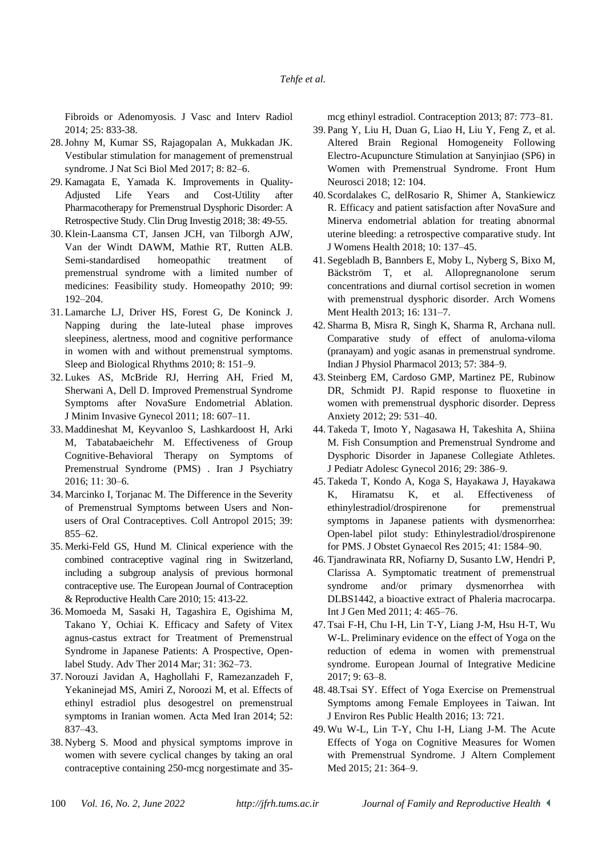Fibroids or Adenomyosis. J Vasc and Interv Radiol 2014; 25: 833-38.

- 28.Johny M, Kumar SS, Rajagopalan A, Mukkadan JK. Vestibular stimulation for management of premenstrual syndrome. J Nat Sci Biol Med 2017; 8: 82–6.
- 29. Kamagata E, Yamada K. Improvements in Quality-Adjusted Life Years and Cost-Utility after Pharmacotherapy for Premenstrual Dysphoric Disorder: A Retrospective Study. Clin Drug Investig 2018; 38: 49-55.
- 30. Klein-Laansma CT, Jansen JCH, van Tilborgh AJW, Van der Windt DAWM, Mathie RT, Rutten ALB. Semi-standardised homeopathic treatment of premenstrual syndrome with a limited number of medicines: Feasibility study. Homeopathy 2010; 99: 192–204.
- 31. Lamarche LJ, Driver HS, Forest G, De Koninck J. Napping during the late-luteal phase improves sleepiness, alertness, mood and cognitive performance in women with and without premenstrual symptoms. Sleep and Biological Rhythms 2010; 8: 151–9.
- 32. Lukes AS, McBride RJ, Herring AH, Fried M, Sherwani A, Dell D. Improved Premenstrual Syndrome Symptoms after NovaSure Endometrial Ablation. J Minim Invasive Gynecol 2011; 18: 607–11.
- 33. Maddineshat M, Keyvanloo S, Lashkardoost H, Arki M, Tabatabaeichehr M. Effectiveness of Group Cognitive-Behavioral Therapy on Symptoms of Premenstrual Syndrome (PMS) . Iran J Psychiatry 2016; 11: 30–6.
- 34. Marcinko I, Torjanac M. The Difference in the Severity of Premenstrual Symptoms between Users and Nonusers of Oral Contraceptives. Coll Antropol 2015; 39: 855–62.
- 35. Merki-Feld GS, Hund M. Clinical experience with the combined contraceptive vaginal ring in Switzerland, including a subgroup analysis of previous hormonal contraceptive use. The European Journal of Contraception & Reproductive Health Care 2010; 15: 413-22.
- 36. Momoeda M, Sasaki H, Tagashira E, Ogishima M, Takano Y, Ochiai K. Efficacy and Safety of Vitex agnus-castus extract for Treatment of Premenstrual Syndrome in Japanese Patients: A Prospective, Openlabel Study. Adv Ther 2014 Mar; 31: 362–73.
- 37. Norouzi Javidan A, Haghollahi F, Ramezanzadeh F, Yekaninejad MS, Amiri Z, Noroozi M, et al. Effects of ethinyl estradiol plus desogestrel on premenstrual symptoms in Iranian women. Acta Med Iran 2014; 52: 837–43.
- 38. Nyberg S. Mood and physical symptoms improve in women with severe cyclical changes by taking an oral contraceptive containing 250-mcg norgestimate and 35-

mcg ethinyl estradiol. Contraception 2013; 87: 773–81.

- 39. Pang Y, Liu H, Duan G, Liao H, Liu Y, Feng Z, et al. Altered Brain Regional Homogeneity Following Electro-Acupuncture Stimulation at Sanyinjiao (SP6) in Women with Premenstrual Syndrome. Front Hum Neurosci 2018; 12: 104.
- 40. Scordalakes C, delRosario R, Shimer A, Stankiewicz R. Efficacy and patient satisfaction after NovaSure and Minerva endometrial ablation for treating abnormal uterine bleeding: a retrospective comparative study. Int J Womens Health 2018; 10: 137–45.
- 41. Segebladh B, Bannbers E, Moby L, Nyberg S, Bixo M, Bäckström T, et al. Allopregnanolone serum concentrations and diurnal cortisol secretion in women with premenstrual dysphoric disorder. Arch Womens Ment Health 2013; 16: 131–7.
- 42. Sharma B, Misra R, Singh K, Sharma R, Archana null. Comparative study of effect of anuloma-viloma (pranayam) and yogic asanas in premenstrual syndrome. Indian J Physiol Pharmacol 2013; 57: 384–9.
- 43. Steinberg EM, Cardoso GMP, Martinez PE, Rubinow DR, Schmidt PJ. Rapid response to fluoxetine in women with premenstrual dysphoric disorder. Depress Anxiety 2012; 29: 531–40.
- 44. Takeda T, Imoto Y, Nagasawa H, Takeshita A, Shiina M. Fish Consumption and Premenstrual Syndrome and Dysphoric Disorder in Japanese Collegiate Athletes. J Pediatr Adolesc Gynecol 2016; 29: 386–9.
- 45. Takeda T, Kondo A, Koga S, Hayakawa J, Hayakawa K, Hiramatsu K, et al. Effectiveness of ethinylestradiol/drospirenone for premenstrual symptoms in Japanese patients with dysmenorrhea: Open-label pilot study: Ethinylestradiol/drospirenone for PMS. J Obstet Gynaecol Res 2015; 41: 1584–90.
- 46. Tjandrawinata RR, Nofiarny D, Susanto LW, Hendri P, Clarissa A. Symptomatic treatment of premenstrual syndrome and/or primary dysmenorrhea with DLBS1442, a bioactive extract of Phaleria macrocarpa. Int J Gen Med 2011; 4: 465–76.
- 47. Tsai F-H, Chu I-H, Lin T-Y, Liang J-M, Hsu H-T, Wu W-L. Preliminary evidence on the effect of Yoga on the reduction of edema in women with premenstrual syndrome. European Journal of Integrative Medicine 2017; 9: 63–8.
- 48. 48.Tsai SY. Effect of Yoga Exercise on Premenstrual Symptoms among Female Employees in Taiwan. Int J Environ Res Public Health 2016; 13: 721.
- 49. Wu W-L, Lin T-Y, Chu I-H, Liang J-M. The Acute Effects of Yoga on Cognitive Measures for Women with Premenstrual Syndrome. J Altern Complement Med 2015; 21: 364–9.